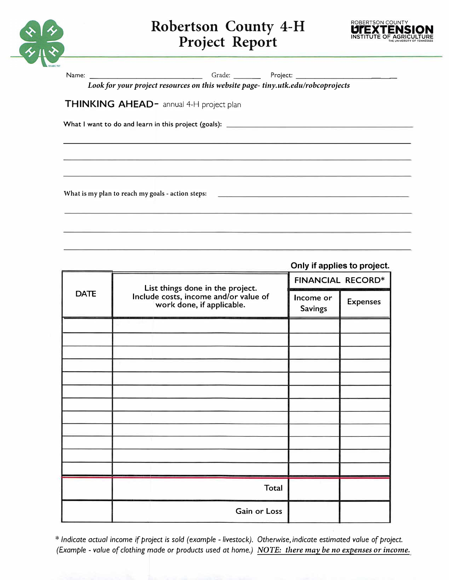

## **Robertson County 4-H Project Report**



| Look for your project resources on this website page-tiny.utk.edu/robcoprojects |  |  |  |
|---------------------------------------------------------------------------------|--|--|--|
| <b>THINKING AHEAD-</b> annual 4-H project plan                                  |  |  |  |
|                                                                                 |  |  |  |
|                                                                                 |  |  |  |
|                                                                                 |  |  |  |
| What is my plan to reach my goals - action steps: $\Box$                        |  |  |  |

|             | Only if applies to project.                                        |                             |                 |  |  |
|-------------|--------------------------------------------------------------------|-----------------------------|-----------------|--|--|
| <b>DATE</b> | List things done in the project.                                   | <b>FINANCIAL RECORD*</b>    |                 |  |  |
|             | Include costs, income and/or value of<br>work done, if applicable. | Income or<br><b>Savings</b> | <b>Expenses</b> |  |  |
|             |                                                                    |                             |                 |  |  |
|             |                                                                    |                             |                 |  |  |
|             |                                                                    |                             |                 |  |  |
|             |                                                                    |                             |                 |  |  |
|             |                                                                    |                             |                 |  |  |
|             |                                                                    |                             |                 |  |  |
|             |                                                                    |                             |                 |  |  |
|             |                                                                    |                             |                 |  |  |
|             |                                                                    |                             |                 |  |  |
|             |                                                                    |                             |                 |  |  |
|             | <b>Total</b>                                                       |                             |                 |  |  |
|             | Gain or Loss                                                       |                             |                 |  |  |

\* *Indicate actual income if project is sold (example - livestock). Otherwise, indicate estimated value* of *project (Example - value* of *clothing made* or *products used at home.) NOTE: there may be no expenses or income.*